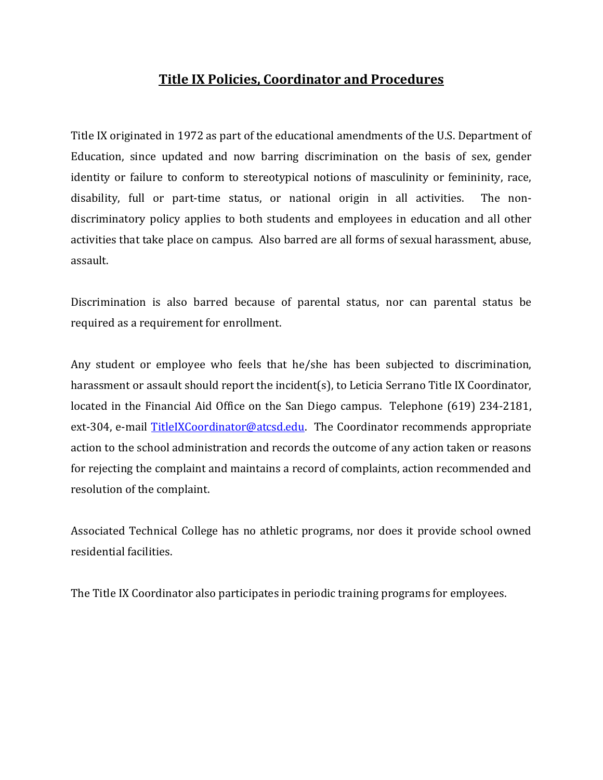## **Title IX Policies, Coordinator and Procedures**

Title IX originated in 1972 as part of the educational amendments of the U.S. Department of Education, since updated and now barring discrimination on the basis of sex, gender identity or failure to conform to stereotypical notions of masculinity or femininity, race, disability, full or part-time status, or national origin in all activities. The nondiscriminatory policy applies to both students and employees in education and all other activities that take place on campus. Also barred are all forms of sexual harassment, abuse, assault.

Discrimination is also barred because of parental status, nor can parental status be required as a requirement for enrollment.

Any student or employee who feels that he/she has been subjected to discrimination, harassment or assault should report the incident(s), to Leticia Serrano Title IX Coordinator, located in the Financial Aid Office on the San Diego campus. Telephone (619) 234-2181, ext-304, e-mail [TitleIXCoordinator@atcsd.edu.](mailto:TitleIXCoordinator@atcsd.edu) The Coordinator recommends appropriate action to the school administration and records the outcome of any action taken or reasons for rejecting the complaint and maintains a record of complaints, action recommended and resolution of the complaint.

Associated Technical College has no athletic programs, nor does it provide school owned residential facilities.

The Title IX Coordinator also participates in periodic training programs for employees.